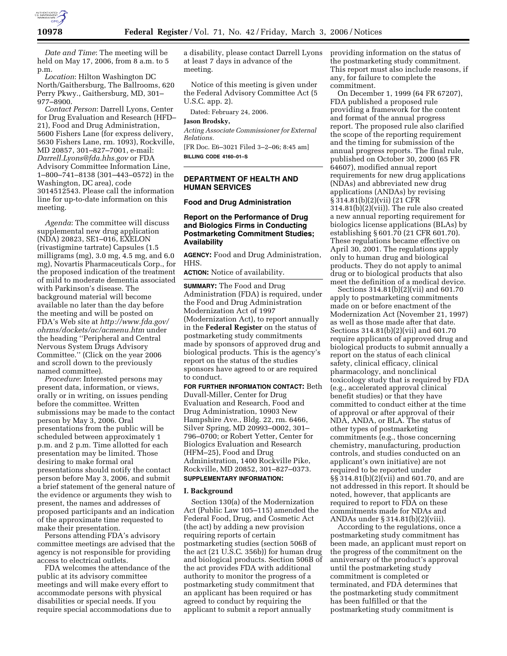

*Date and Time*: The meeting will be held on May 17, 2006, from 8 a.m. to 5 p.m.

*Location*: Hilton Washington DC North/Gaithersburg, The Ballrooms, 620 Perry Pkwy., Gaithersburg, MD, 301– 977–8900.

*Contact Person*: Darrell Lyons, Center for Drug Evaluation and Research (HFD– 21), Food and Drug Administration, 5600 Fishers Lane (for express delivery, 5630 Fishers Lane, rm. 1093), Rockville, MD 20857, 301–827–7001, e-mail: *Darrell.Lyons@fda.hhs.gov* or FDA Advisory Committee Information Line, 1–800–741–8138 (301–443–0572) in the Washington, DC area), code 3014512543. Please call the information line for up-to-date information on this meeting.

*Agenda*: The committee will discuss supplemental new drug application (NDA) 20823, SE1–016, EXELON (rivastigmine tartrate) Capsules (1.5 milligrams (mg), 3.0 mg, 4.5 mg, and 6.0 mg), Novartis Pharmaceuticals Corp., for the proposed indication of the treatment of mild to moderate dementia associated with Parkinson's disease. The background material will become available no later than the day before the meeting and will be posted on FDA's Web site at *http://www.fda.gov/ ohrms/dockets/ac/acmenu.htm* under the heading ''Peripheral and Central Nervous System Drugs Advisory Committee.'' (Click on the year 2006 and scroll down to the previously named committee).

*Procedure*: Interested persons may present data, information, or views, orally or in writing, on issues pending before the committee. Written submissions may be made to the contact person by May 3, 2006. Oral presentations from the public will be scheduled between approximately 1 p.m. and 2 p.m. Time allotted for each presentation may be limited. Those desiring to make formal oral presentations should notify the contact person before May 3, 2006, and submit a brief statement of the general nature of the evidence or arguments they wish to present, the names and addresses of proposed participants and an indication of the approximate time requested to make their presentation.

Persons attending FDA's advisory committee meetings are advised that the agency is not responsible for providing access to electrical outlets.

FDA welcomes the attendance of the public at its advisory committee meetings and will make every effort to accommodate persons with physical disabilities or special needs. If you require special accommodations due to

a disability, please contact Darrell Lyons at least 7 days in advance of the meeting.

Notice of this meeting is given under the Federal Advisory Committee Act (5 U.S.C. app. 2).

Dated: February 24, 2006.

#### **Jason Brodsky,**

*Acting Associate Commissioner for External Relations.* 

[FR Doc. E6–3021 Filed 3–2–06; 8:45 am] **BILLING CODE 4160–01–S** 

## **DEPARTMENT OF HEALTH AND HUMAN SERVICES**

#### **Food and Drug Administration**

# **Report on the Performance of Drug and Biologics Firms in Conducting Postmarketing Commitment Studies; Availability**

**AGENCY:** Food and Drug Administration, HHS.

**ACTION:** Notice of availability.

**SUMMARY:** The Food and Drug Administration (FDA) is required, under the Food and Drug Administration Modernization Act of 1997 (Modernization Act), to report annually in the **Federal Register** on the status of postmarketing study commitments made by sponsors of approved drug and biological products. This is the agency's report on the status of the studies sponsors have agreed to or are required to conduct.

**FOR FURTHER INFORMATION CONTACT:** Beth Duvall-Miller, Center for Drug Evaluation and Research, Food and Drug Administration, 10903 New Hampshire Ave., Bldg. 22, rm. 6466, Silver Spring, MD 20993–0002, 301– 796–0700; or Robert Yetter, Center for Biologics Evaluation and Research (HFM–25), Food and Drug Administration, 1400 Rockville Pike, Rockville, MD 20852, 301–827–0373.

# **SUPPLEMENTARY INFORMATION:**

#### **I. Background**

Section 130(a) of the Modernization Act (Public Law 105–115) amended the Federal Food, Drug, and Cosmetic Act (the act) by adding a new provision requiring reports of certain postmarketing studies (section 506B of the act (21 U.S.C. 356b)) for human drug and biological products. Section 506B of the act provides FDA with additional authority to monitor the progress of a postmarketing study commitment that an applicant has been required or has agreed to conduct by requiring the applicant to submit a report annually

providing information on the status of the postmarketing study commitment. This report must also include reasons, if any, for failure to complete the commitment.

On December 1, 1999 (64 FR 67207), FDA published a proposed rule providing a framework for the content and format of the annual progress report. The proposed rule also clarified the scope of the reporting requirement and the timing for submission of the annual progress reports. The final rule, published on October 30, 2000 (65 FR 64607), modified annual report requirements for new drug applications (NDAs) and abbreviated new drug applications (ANDAs) by revising § 314.81(b)(2)(vii) (21 CFR 314.81(b)(2)(vii)). The rule also created a new annual reporting requirement for biologics license applications (BLAs) by establishing § 601.70 (21 CFR 601.70). These regulations became effective on April 30, 2001. The regulations apply only to human drug and biological products. They do not apply to animal drug or to biological products that also meet the definition of a medical device.

Sections 314.81(b)(2)(vii) and 601.70 apply to postmarketing commitments made on or before enactment of the Modernization Act (November 21, 1997) as well as those made after that date. Sections 314.81(b)(2)(vii) and 601.70 require applicants of approved drug and biological products to submit annually a report on the status of each clinical safety, clinical efficacy, clinical pharmacology, and nonclinical toxicology study that is required by FDA (e.g., accelerated approval clinical benefit studies) or that they have committed to conduct either at the time of approval or after approval of their NDA, ANDA, or BLA. The status of other types of postmarketing commitments (e.g., those concerning chemistry, manufacturing, production controls, and studies conducted on an applicant's own initiative) are not required to be reported under §§ 314.81(b)(2)(vii) and 601.70, and are not addressed in this report. It should be noted, however, that applicants are required to report to FDA on these commitments made for NDAs and ANDAs under § 314.81(b)(2)(viii).

According to the regulations, once a postmarketing study commitment has been made, an applicant must report on the progress of the commitment on the anniversary of the product's approval until the postmarketing study commitment is completed or terminated, and FDA determines that the postmarketing study commitment has been fulfilled or that the postmarketing study commitment is